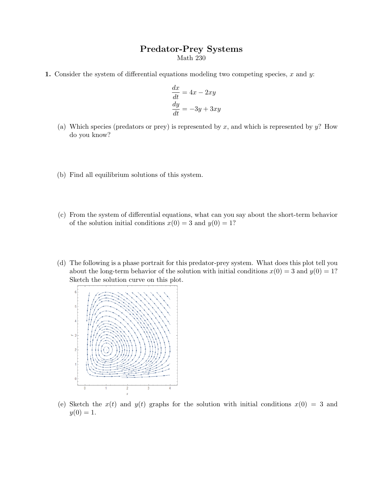## Predator-Prey Systems

Math 230

1. Consider the system of differential equations modeling two competing species,  $x$  and  $y$ :

$$
\frac{dx}{dt} = 4x - 2xy
$$

$$
\frac{dy}{dt} = -3y + 3xy
$$

- (a) Which species (predators or prey) is represented by  $x$ , and which is represented by  $y$ ? How do you know?
- (b) Find all equilibrium solutions of this system.
- (c) From the system of differential equations, what can you say about the short-term behavior of the solution initial conditions  $x(0) = 3$  and  $y(0) = 1$ ?
- (d) The following is a phase portrait for this predator-prey system. What does this plot tell you about the long-term behavior of the solution with initial conditions  $x(0) = 3$  and  $y(0) = 1$ ? Sketch the solution curve on this plot.



(e) Sketch the  $x(t)$  and  $y(t)$  graphs for the solution with initial conditions  $x(0) = 3$  and  $y(0) = 1.$